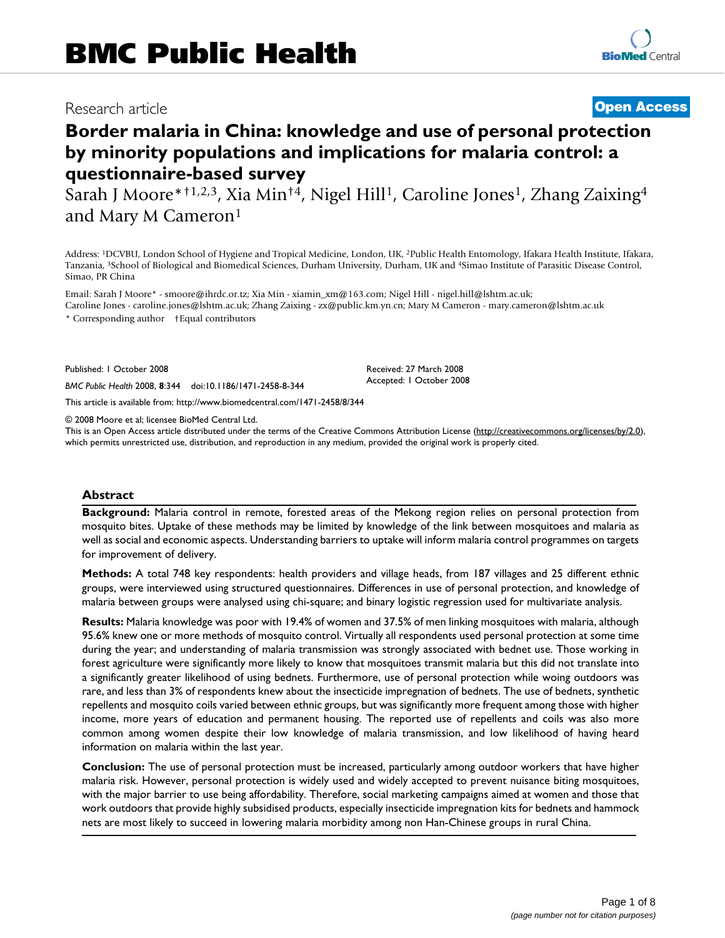# Research article **[Open Access](http://www.biomedcentral.com/info/about/charter/)**

# **Border malaria in China: knowledge and use of personal protection by minority populations and implications for malaria control: a questionnaire-based survey**

Sarah J Moore\*<sup>†1,2,3</sup>, Xia Min<sup>†4</sup>, Nigel Hill<sup>1</sup>, Caroline Jones<sup>1</sup>, Zhang Zaixing<sup>4</sup> and Mary M Cameron<sup>1</sup>

Address: 1DCVBU, London School of Hygiene and Tropical Medicine, London, UK, 2Public Health Entomology, Ifakara Health Institute, Ifakara, Tanzania, 3School of Biological and Biomedical Sciences, Durham University, Durham, UK and 4Simao Institute of Parasitic Disease Control, Simao, PR China

Email: Sarah J Moore\* - smoore@ihrdc.or.tz; Xia Min - xiamin\_xm@163.com; Nigel Hill - nigel.hill@lshtm.ac.uk; Caroline Jones - caroline.jones@lshtm.ac.uk; Zhang Zaixing - zx@public.km.yn.cn; Mary M Cameron - mary.cameron@lshtm.ac.uk \* Corresponding author †Equal contributors

Published: 1 October 2008

*BMC Public Health* 2008, **8**:344 doi:10.1186/1471-2458-8-344

[This article is available from: http://www.biomedcentral.com/1471-2458/8/344](http://www.biomedcentral.com/1471-2458/8/344)

© 2008 Moore et al; licensee BioMed Central Ltd.

This is an Open Access article distributed under the terms of the Creative Commons Attribution License [\(http://creativecommons.org/licenses/by/2.0\)](http://creativecommons.org/licenses/by/2.0), which permits unrestricted use, distribution, and reproduction in any medium, provided the original work is properly cited.

Received: 27 March 2008 Accepted: 1 October 2008

#### **Abstract**

**Background:** Malaria control in remote, forested areas of the Mekong region relies on personal protection from mosquito bites. Uptake of these methods may be limited by knowledge of the link between mosquitoes and malaria as well as social and economic aspects. Understanding barriers to uptake will inform malaria control programmes on targets for improvement of delivery.

**Methods:** A total 748 key respondents: health providers and village heads, from 187 villages and 25 different ethnic groups, were interviewed using structured questionnaires. Differences in use of personal protection, and knowledge of malaria between groups were analysed using chi-square; and binary logistic regression used for multivariate analysis.

**Results:** Malaria knowledge was poor with 19.4% of women and 37.5% of men linking mosquitoes with malaria, although 95.6% knew one or more methods of mosquito control. Virtually all respondents used personal protection at some time during the year; and understanding of malaria transmission was strongly associated with bednet use. Those working in forest agriculture were significantly more likely to know that mosquitoes transmit malaria but this did not translate into a significantly greater likelihood of using bednets. Furthermore, use of personal protection while woing outdoors was rare, and less than 3% of respondents knew about the insecticide impregnation of bednets. The use of bednets, synthetic repellents and mosquito coils varied between ethnic groups, but was significantly more frequent among those with higher income, more years of education and permanent housing. The reported use of repellents and coils was also more common among women despite their low knowledge of malaria transmission, and low likelihood of having heard information on malaria within the last year.

**Conclusion:** The use of personal protection must be increased, particularly among outdoor workers that have higher malaria risk. However, personal protection is widely used and widely accepted to prevent nuisance biting mosquitoes, with the major barrier to use being affordability. Therefore, social marketing campaigns aimed at women and those that work outdoors that provide highly subsidised products, especially insecticide impregnation kits for bednets and hammock nets are most likely to succeed in lowering malaria morbidity among non Han-Chinese groups in rural China.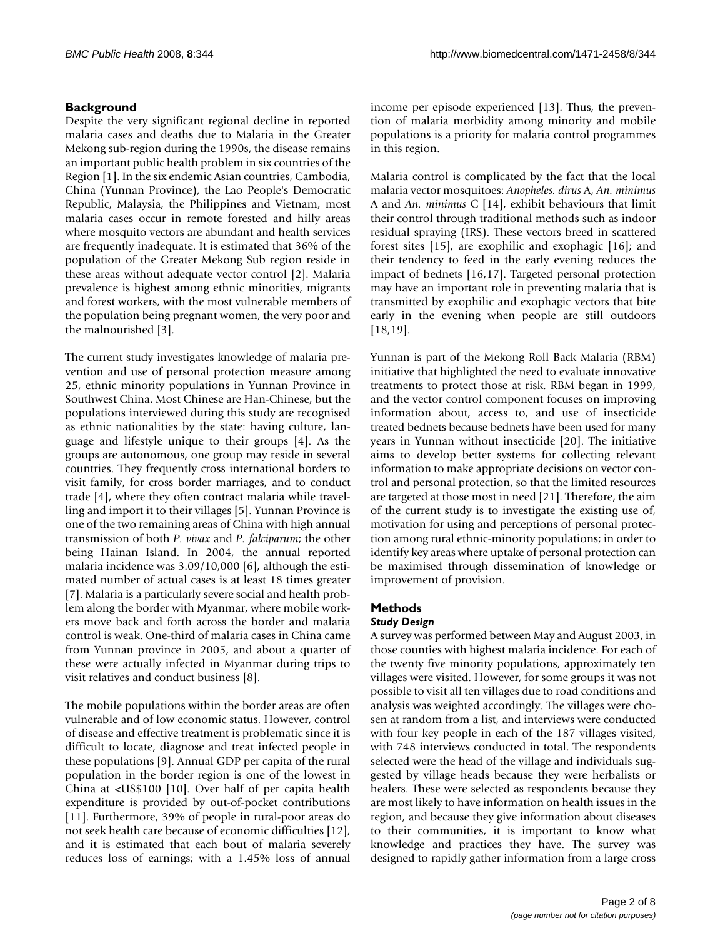# **Background**

Despite the very significant regional decline in reported malaria cases and deaths due to Malaria in the Greater Mekong sub-region during the 1990s, the disease remains an important public health problem in six countries of the Region [1]. In the six endemic Asian countries, Cambodia, China (Yunnan Province), the Lao People's Democratic Republic, Malaysia, the Philippines and Vietnam, most malaria cases occur in remote forested and hilly areas where mosquito vectors are abundant and health services are frequently inadequate. It is estimated that 36% of the population of the Greater Mekong Sub region reside in these areas without adequate vector control [2]. Malaria prevalence is highest among ethnic minorities, migrants and forest workers, with the most vulnerable members of the population being pregnant women, the very poor and the malnourished [3].

The current study investigates knowledge of malaria prevention and use of personal protection measure among 25, ethnic minority populations in Yunnan Province in Southwest China. Most Chinese are Han-Chinese, but the populations interviewed during this study are recognised as ethnic nationalities by the state: having culture, language and lifestyle unique to their groups [4]. As the groups are autonomous, one group may reside in several countries. They frequently cross international borders to visit family, for cross border marriages, and to conduct trade [4], where they often contract malaria while travelling and import it to their villages [5]. Yunnan Province is one of the two remaining areas of China with high annual transmission of both *P. vivax* and *P. falciparum*; the other being Hainan Island. In 2004, the annual reported malaria incidence was 3.09/10,000 [6], although the estimated number of actual cases is at least 18 times greater [7]. Malaria is a particularly severe social and health problem along the border with Myanmar, where mobile workers move back and forth across the border and malaria control is weak. One-third of malaria cases in China came from Yunnan province in 2005, and about a quarter of these were actually infected in Myanmar during trips to visit relatives and conduct business [8].

The mobile populations within the border areas are often vulnerable and of low economic status. However, control of disease and effective treatment is problematic since it is difficult to locate, diagnose and treat infected people in these populations [9]. Annual GDP per capita of the rural population in the border region is one of the lowest in China at <US\$100 [10]. Over half of per capita health expenditure is provided by out-of-pocket contributions [11]. Furthermore, 39% of people in rural-poor areas do not seek health care because of economic difficulties [12], and it is estimated that each bout of malaria severely reduces loss of earnings; with a 1.45% loss of annual

income per episode experienced [13]. Thus, the prevention of malaria morbidity among minority and mobile populations is a priority for malaria control programmes in this region.

Malaria control is complicated by the fact that the local malaria vector mosquitoes: *Anopheles. dirus* A, *An. minimus* A and *An. minimus* C [14], exhibit behaviours that limit their control through traditional methods such as indoor residual spraying (IRS). These vectors breed in scattered forest sites [\[15](#page-6-0)], are exophilic and exophagic [16]; and their tendency to feed in the early evening reduces the impact of bednets [16,17]. Targeted personal protection may have an important role in preventing malaria that is transmitted by exophilic and exophagic vectors that bite early in the evening when people are still outdoors [18,19].

Yunnan is part of the Mekong Roll Back Malaria (RBM) initiative that highlighted the need to evaluate innovative treatments to protect those at risk. RBM began in 1999, and the vector control component focuses on improving information about, access to, and use of insecticide treated bednets because bednets have been used for many years in Yunnan without insecticide [20]. The initiative aims to develop better systems for collecting relevant information to make appropriate decisions on vector control and personal protection, so that the limited resources are targeted at those most in need [21]. Therefore, the aim of the current study is to investigate the existing use of, motivation for using and perceptions of personal protection among rural ethnic-minority populations; in order to identify key areas where uptake of personal protection can be maximised through dissemination of knowledge or improvement of provision.

# **Methods**

# *Study Design*

A survey was performed between May and August 2003, in those counties with highest malaria incidence. For each of the twenty five minority populations, approximately ten villages were visited. However, for some groups it was not possible to visit all ten villages due to road conditions and analysis was weighted accordingly. The villages were chosen at random from a list, and interviews were conducted with four key people in each of the 187 villages visited, with 748 interviews conducted in total. The respondents selected were the head of the village and individuals suggested by village heads because they were herbalists or healers. These were selected as respondents because they are most likely to have information on health issues in the region, and because they give information about diseases to their communities, it is important to know what knowledge and practices they have. The survey was designed to rapidly gather information from a large cross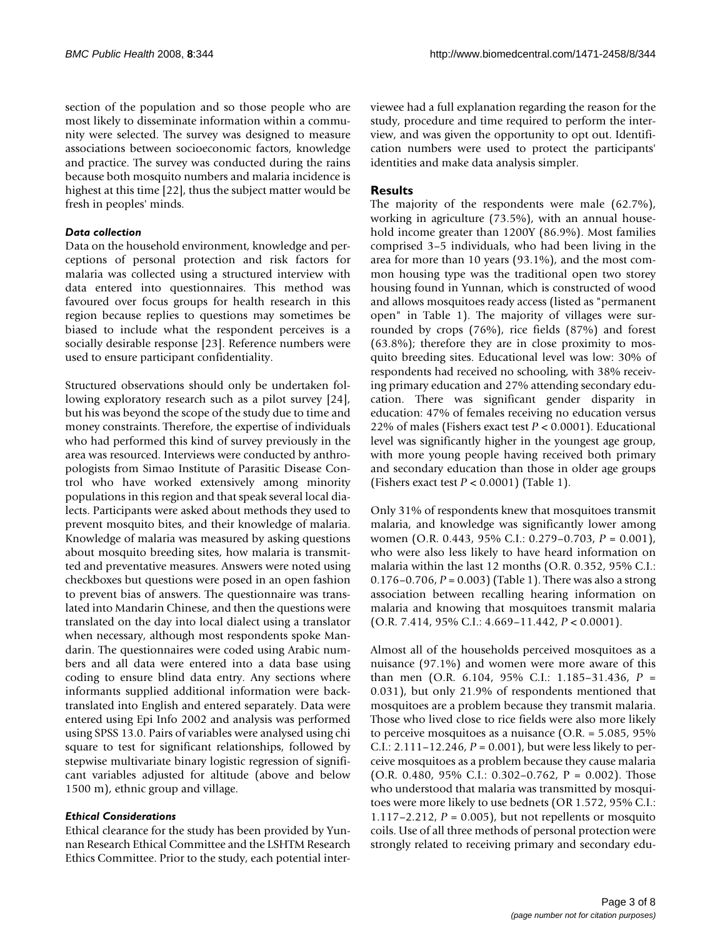section of the population and so those people who are most likely to disseminate information within a community were selected. The survey was designed to measure associations between socioeconomic factors, knowledge and practice. The survey was conducted during the rains because both mosquito numbers and malaria incidence is highest at this time [22], thus the subject matter would be fresh in peoples' minds.

# *Data collection*

Data on the household environment, knowledge and perceptions of personal protection and risk factors for malaria was collected using a structured interview with data entered into questionnaires. This method was favoured over focus groups for health research in this region because replies to questions may sometimes be biased to include what the respondent perceives is a socially desirable response [23]. Reference numbers were used to ensure participant confidentiality.

Structured observations should only be undertaken following exploratory research such as a pilot survey [24], but his was beyond the scope of the study due to time and money constraints. Therefore, the expertise of individuals who had performed this kind of survey previously in the area was resourced. Interviews were conducted by anthropologists from Simao Institute of Parasitic Disease Control who have worked extensively among minority populations in this region and that speak several local dialects. Participants were asked about methods they used to prevent mosquito bites, and their knowledge of malaria. Knowledge of malaria was measured by asking questions about mosquito breeding sites, how malaria is transmitted and preventative measures. Answers were noted using checkboxes but questions were posed in an open fashion to prevent bias of answers. The questionnaire was translated into Mandarin Chinese, and then the questions were translated on the day into local dialect using a translator when necessary, although most respondents spoke Mandarin. The questionnaires were coded using Arabic numbers and all data were entered into a data base using coding to ensure blind data entry. Any sections where informants supplied additional information were backtranslated into English and entered separately. Data were entered using Epi Info 2002 and analysis was performed using SPSS 13.0. Pairs of variables were analysed using chi square to test for significant relationships, followed by stepwise multivariate binary logistic regression of significant variables adjusted for altitude (above and below 1500 m), ethnic group and village.

# *Ethical Considerations*

Ethical clearance for the study has been provided by Yunnan Research Ethical Committee and the LSHTM Research Ethics Committee. Prior to the study, each potential interviewee had a full explanation regarding the reason for the study, procedure and time required to perform the interview, and was given the opportunity to opt out. Identification numbers were used to protect the participants' identities and make data analysis simpler.

# **Results**

The majority of the respondents were male (62.7%), working in agriculture (73.5%), with an annual household income greater than 1200Y (86.9%). Most families comprised 3–5 individuals, who had been living in the area for more than 10 years (93.1%), and the most common housing type was the traditional open two storey housing found in Yunnan, which is constructed of wood and allows mosquitoes ready access (listed as "permanent open" in Table 1). The majority of villages were surrounded by crops (76%), rice fields (87%) and forest (63.8%); therefore they are in close proximity to mosquito breeding sites. Educational level was low: 30% of respondents had received no schooling, with 38% receiving primary education and 27% attending secondary education. There was significant gender disparity in education: 47% of females receiving no education versus 22% of males (Fishers exact test *P* < 0.0001). Educational level was significantly higher in the youngest age group, with more young people having received both primary and secondary education than those in older age groups (Fishers exact test *P* < 0.0001) (Table 1).

Only 31% of respondents knew that mosquitoes transmit malaria, and knowledge was significantly lower among women (O.R. 0.443, 95% C.I.: 0.279–0.703, *P* = 0.001), who were also less likely to have heard information on malaria within the last 12 months (O.R. 0.352, 95% C.I.: 0.176–0.706, *P* = 0.003) (Table 1). There was also a strong association between recalling hearing information on malaria and knowing that mosquitoes transmit malaria (O.R. 7.414, 95% C.I.: 4.669–11.442, *P* < 0.0001).

Almost all of the households perceived mosquitoes as a nuisance (97.1%) and women were more aware of this than men (O.R. 6.104, 95% C.I.: 1.185–31.436, *P* = 0.031), but only 21.9% of respondents mentioned that mosquitoes are a problem because they transmit malaria. Those who lived close to rice fields were also more likely to perceive mosquitoes as a nuisance (O.R. = 5.085, 95% C.I.: 2.111–12.246, *P* = 0.001), but were less likely to perceive mosquitoes as a problem because they cause malaria (O.R. 0.480, 95% C.I.: 0.302–0.762, P = 0.002). Those who understood that malaria was transmitted by mosquitoes were more likely to use bednets (OR 1.572, 95% C.I.: 1.117–2.212, *P* = 0.005), but not repellents or mosquito coils. Use of all three methods of personal protection were strongly related to receiving primary and secondary edu-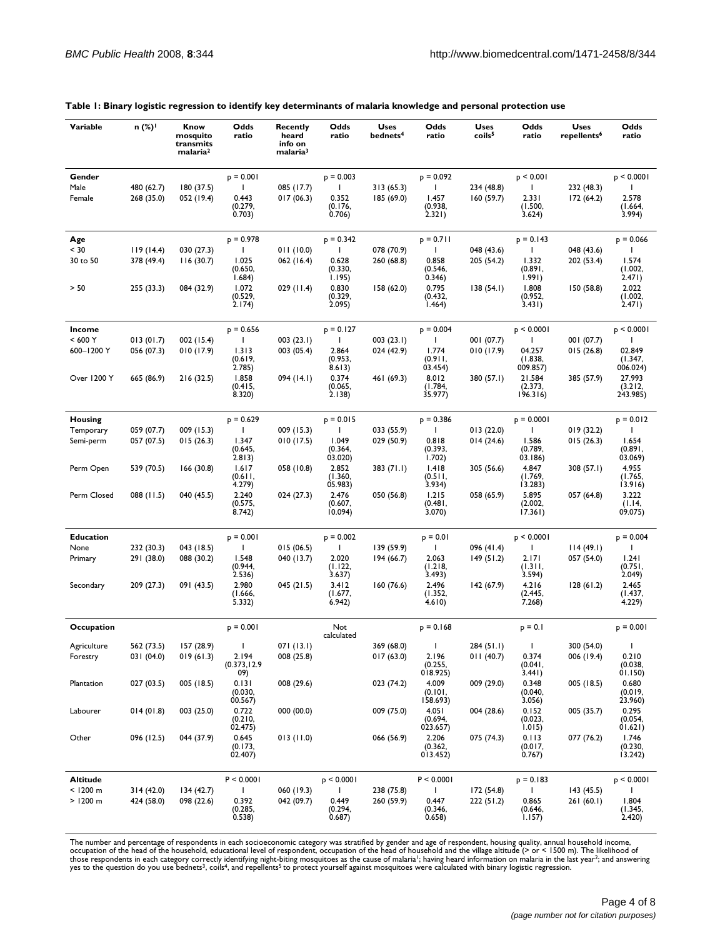| Variable         | n (%) <sup>1</sup> | Know<br>mosquito<br>transmits<br>malaria <sup>2</sup> | Odds<br>ratio                          | Recently<br>heard<br>info on<br>malaria <sup>3</sup> | Odds<br>ratio               | <b>Uses</b><br>bednets <sup>4</sup> | Odds<br>ratio                            | Uses<br>coils <sup>5</sup> | Odds<br>ratio                        | Uses<br>repellents <sup>6</sup> | Odds<br>ratio                          |
|------------------|--------------------|-------------------------------------------------------|----------------------------------------|------------------------------------------------------|-----------------------------|-------------------------------------|------------------------------------------|----------------------------|--------------------------------------|---------------------------------|----------------------------------------|
| Gender           |                    |                                                       | $p = 0.001$                            |                                                      | $p = 0.003$                 |                                     | $p = 0.092$                              |                            | p < 0.001                            |                                 | p < 0.0001                             |
| Male             | 480 (62.7)         | 180 (37.5)                                            | -1                                     | 085 (17.7)                                           | $\mathbf{I}$                | 313(65.3)                           | $\mathbf{I}$                             | 234 (48.8)                 | $\mathbf{I}$                         | 232 (48.3)                      | ı                                      |
| Female           | 268 (35.0)         | 052 (19.4)                                            | 0.443                                  | 017(06.3)                                            | 0.352                       | 185 (69.0)                          | 1.457                                    | 160(59.7)                  | 2.331                                | 172 (64.2)                      | 2.578                                  |
|                  |                    |                                                       | (0.279,<br>0.703)                      |                                                      | (0.176,<br>0.706)           |                                     | (0.938,<br>2.321)                        |                            | (1.500,<br>3.624)                    |                                 | (1.664,<br>3.994)                      |
| Age              |                    |                                                       | $p = 0.978$                            |                                                      | $p = 0.342$                 |                                     | $p = 0.711$                              |                            | $p = 0.143$                          |                                 | $p = 0.066$                            |
| < 30             | 119(14.4)          | 030 (27.3)                                            | T                                      | 011(10.0)                                            | $\mathbf{I}$                | 078 (70.9)                          | $\mathbf{I}$                             | 048 (43.6)                 | $\mathbf{I}$                         | 048 (43.6)                      | T                                      |
| 30 to 50         | 378 (49.4)         | 116(30.7)                                             | 1.025                                  | 062 (16.4)                                           | 0.628                       | 260 (68.8)                          | 0.858                                    | 205 (54.2)                 | 1.332                                | 202 (53.4)                      | 1.574                                  |
|                  |                    |                                                       | (0.650,<br>1.684)                      |                                                      | (0.330,<br>1.195)           |                                     | (0.546,<br>0.346)                        |                            | (0.891,<br>1.991)                    |                                 | (1.002,<br>2.471)                      |
| > 50             | 255 (33.3)         | 084 (32.9)                                            | 1.072                                  | 029(11.4)                                            | 0.830                       | 158 (62.0)                          | 0.795                                    | 138(54.1)                  | 1.808                                | 150 (58.8)                      | 2.022                                  |
|                  |                    |                                                       | (0.529,<br>2.174)                      |                                                      | (0.329,<br>2.095)           |                                     | (0.432,<br>1.464)                        |                            | (0.952,<br>3.431)                    |                                 | (1.002,<br>2.47I)                      |
| Income           |                    |                                                       | $p = 0.656$                            |                                                      | $p = 0.127$                 |                                     | $p = 0.004$                              |                            | p < 0.0001                           |                                 | p < 0.0001                             |
| < 600 Y          | 013(01.7)          | 002 (15.4)                                            | ı                                      | 003(23.1)                                            | $\mathbf{I}$                | 003(23.1)                           | T                                        | 001 (07.7)                 | L                                    | 001 (07.7)                      | ı                                      |
| 600-1200 Y       | 056 (07.3)         | 010(17.9)                                             | 1.313                                  | 003 (05.4)                                           | 2.864                       | 024 (42.9)                          | 1.774                                    | 010(17.9)                  | 04.257                               | 015(26.8)                       | 02.849                                 |
|                  |                    |                                                       | (0.619,<br>2.785)                      |                                                      | (0.953,<br>8.613)           |                                     | (0.911,<br>03.454)                       |                            | (1.838,<br>009.857)                  |                                 | (1.347,<br>006.024)                    |
| Over 1200 Y      | 665 (86.9)         | 216 (32.5)                                            | 1.858                                  | 094 (14.1)                                           | 0.374                       | 461 (69.3)                          | 8.012                                    | 380 (57.1)                 | 21.584                               | 385 (57.9)                      | 27.993                                 |
|                  |                    |                                                       | (0.415,<br>8.320)                      |                                                      | (0.065,<br>2.138)           |                                     | (1.784,<br>35.977)                       |                            | (2.373,<br>196.316                   |                                 | (3.212,<br>243.985)                    |
| Housing          |                    |                                                       | $p = 0.629$                            |                                                      | $p = 0.015$                 |                                     | $p = 0.386$                              |                            | $p = 0.0001$                         |                                 | $p = 0.012$                            |
| Temporary        | 059 (07.7)         | 009 (15.3)                                            | $\mathbf{I}$                           | 009 (15.3)                                           | $\mathbf{I}$                | 033 (55.9)                          | T                                        | 013(22.0)                  | T                                    | 019 (32.2)                      | $\mathbf{I}$                           |
| Semi-perm        | 057 (07.5)         | 015(26.3)                                             | 1.347<br>(0.645,<br>2.813)             | 010(17.5)                                            | 1.049<br>(0.364,<br>03.020) | 029 (50.9)                          | 0.818<br>(0.393)<br>1.702)               | 014 (24.6)                 | 1.586<br>(0.789,<br>03.186)          | 015 (26.3)                      | 1.654<br>(0.891<br>03.069)             |
| Perm Open        | 539 (70.5)         | 166 (30.8)                                            | 1.617                                  | 058 (10.8)                                           | 2.852                       | 383 (71.1)                          | 1.418                                    | 305 (56.6)                 | 4.847                                | 308 (57.1)                      | 4.955                                  |
|                  |                    |                                                       | (0.611,<br>4.279)                      |                                                      | (1.360,<br>05.983)          |                                     | (0.511,<br>3.934)                        |                            | (1.769,<br>13.283)                   |                                 | (1.765,<br>13.916)                     |
| Perm Closed      | 088 (11.5)         | 040 (45.5)                                            | 2.240<br>(0.575,<br>8.742)             | 024 (27.3)                                           | 2.476<br>(0.607,<br>10.094) | 050 (56.8)                          | 1.215<br>(0.481,<br>3.070)               | 058 (65.9)                 | 5.895<br>(2.002,<br>(7.361)          | 057 (64.8)                      | 3.222<br>(1.14,<br>09.075)             |
| <b>Education</b> |                    |                                                       | $p = 0.001$                            |                                                      | $p = 0.002$                 |                                     | $p = 0.01$                               |                            | p < 0.0001                           |                                 | $p = 0.004$                            |
| None             | 232 (30.3)         | 043 (18.5)                                            | T                                      | 015(06.5)                                            | $\mathbf{I}$                | 139 (59.9)                          | $\mathbf{I}$                             | 096 (41.4)                 | $\mathbf{I}$                         | 114(49.1)                       | T                                      |
| Primary          | 291 (38.0)         | 088 (30.2)                                            | 1.548<br>(0.944,<br>2.536)             | 040 (13.7)                                           | 2.020<br>(I.I22,<br>3.637)  | 194(66.7)                           | 2.063<br>(1.218,<br>3.493)               | 149(51.2)                  | 2.171<br>(1.311,<br>3.594)           | 057 (54.0)                      | 1.241<br>(0.751,<br>2.049)             |
| Secondary        | 209 (27.3)         | 091 (43.5)                                            | 2.980                                  | 045 (21.5)                                           | 3.412                       | 160(76.6)                           | 2.496                                    | 142 (67.9)                 | 4.216                                | 128(61.2)                       | 2.465                                  |
|                  |                    |                                                       | (1.666,<br>5.332)                      |                                                      | (1.677,<br>6.942)           |                                     | (1.352,<br>4.610)                        |                            | (2.445,<br>7.268)                    |                                 | (1.437,<br>4.229)                      |
| Occupation       |                    |                                                       | $p = 0.001$                            |                                                      | Not<br>calculated           |                                     | $p = 0.168$                              |                            | $p = 0.1$                            |                                 | $p = 0.001$                            |
| Agriculture      | 562 (73.5)         | 157 (28.9)                                            |                                        | 071 (13.1)                                           |                             | 369 (68.0)                          | J.                                       | 284(51.1)                  | J.                                   | 300 (54.0)                      |                                        |
| Forestry         | 031 (04.0)         | 019(61.3)                                             | 2.194<br>(0.373, 12.9)<br>09)          | 008 (25.8)                                           |                             | 017 (63.0)                          | 2.196<br>(0.255,<br>018.925)             | 011(40.7)                  | 0.374<br>(0.041,<br>3.441)           | 006 (19.4)                      | 0.210<br>(0.038,<br>01.150)            |
| Plantation       | 027 (03.5)         | 005 (18.5)                                            | 0.131<br>(0.030,                       | 008 (29.6)                                           |                             | 023 (74.2)                          | 4.009<br>(0.101,<br>158.693)             | 009 (29.0)                 | 0.348<br>(0.040,<br>3.056)           | 005 (18.5)                      | 0.680<br>(0.019,<br>23.960)            |
| Labourer         | 014(01.8)          | 003 (25.0)                                            | 00.567)<br>0.722<br>(0.210,            | 000 (00.0)                                           |                             | 009 (75.0)                          | 4.051<br>(0.694,                         | 004 (28.6)                 | 0.152<br>(0.023,                     | 005 (35.7)                      | 0.295<br>(0.054,                       |
| Other            | 096 (12.5)         | 044 (37.9)                                            | 02.475)<br>0.645<br>(0.173,<br>02.407) | 013(11.0)                                            |                             | 066 (56.9)                          | 023.657)<br>2.206<br>(0.362,<br>013.452) | 075 (74.3)                 | 1.015)<br>0.113<br>(0.017,<br>0.767) | 077 (76.2)                      | 01.621)<br>1.746<br>(0.230,<br>13.242) |
| <b>Altitude</b>  |                    |                                                       | P < 0.0001                             |                                                      | p < 0.0001                  |                                     | P < 0.0001                               |                            | $p = 0.183$                          |                                 | p < 0.0001                             |
| < 1200 m         | 314 (42.0)         | 134(42.7)                                             | $\mathbf{I}$                           | 060 (19.3)                                           | T                           | 238 (75.8)                          | T                                        | 172 (54.8)                 | T                                    | 143 (45.5)                      | T                                      |
| > 1200 m         | 424 (58.0)         | 098 (22.6)                                            | 0.392<br>(0.285,<br>0.538)             | 042 (09.7)                                           | 0.449<br>(0.294,<br>0.687)  | 260 (59.9)                          | 0.447<br>(0.346,<br>0.658)               | 222 (51.2)                 | 0.865<br>(0.646,<br>1.157)           | 261 (60.1)                      | 1.804<br>(1.345,<br>2.420)             |

#### **Table 1: Binary logistic regression to identify key determinants of malaria knowledge and personal protection use**

The number and percentage of respondents in each socioeconomic category was stratified by gender and age of respondent, housing quality, annual household income,<br>occupation of the head of the household, educational level o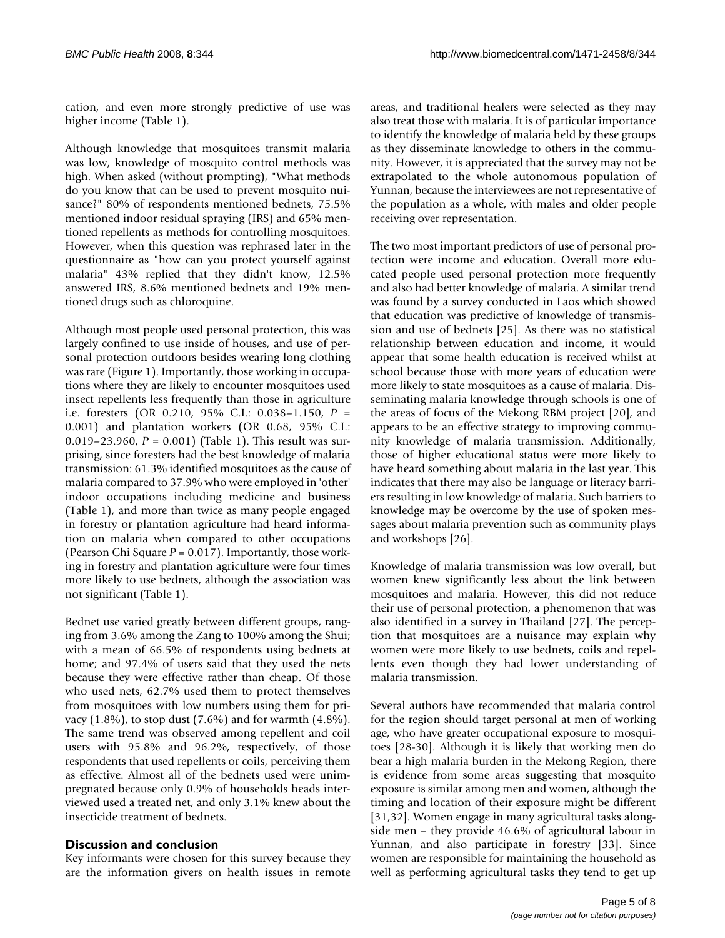cation, and even more strongly predictive of use was higher income (Table 1).

Although knowledge that mosquitoes transmit malaria was low, knowledge of mosquito control methods was high. When asked (without prompting), "What methods do you know that can be used to prevent mosquito nuisance?" 80% of respondents mentioned bednets, 75.5% mentioned indoor residual spraying (IRS) and 65% mentioned repellents as methods for controlling mosquitoes. However, when this question was rephrased later in the questionnaire as "how can you protect yourself against malaria" 43% replied that they didn't know, 12.5% answered IRS, 8.6% mentioned bednets and 19% mentioned drugs such as chloroquine.

Although most people used personal protection, this was largely confined to use inside of houses, and use of personal protection outdoors besides wearing long clothing was rare (Figure 1). Importantly, those working in occupations where they are likely to encounter mosquitoes used insect repellents less frequently than those in agriculture i.e. foresters (OR 0.210, 95% C.I.: 0.038–1.150, *P* = 0.001) and plantation workers (OR 0.68, 95% C.I.: 0.019–23.960, *P* = 0.001) (Table 1). This result was surprising, since foresters had the best knowledge of malaria transmission: 61.3% identified mosquitoes as the cause of malaria compared to 37.9% who were employed in 'other' indoor occupations including medicine and business (Table 1), and more than twice as many people engaged in forestry or plantation agriculture had heard information on malaria when compared to other occupations (Pearson Chi Square *P* = 0.017). Importantly, those working in forestry and plantation agriculture were four times more likely to use bednets, although the association was not significant (Table 1).

Bednet use varied greatly between different groups, ranging from 3.6% among the Zang to 100% among the Shui; with a mean of 66.5% of respondents using bednets at home; and 97.4% of users said that they used the nets because they were effective rather than cheap. Of those who used nets, 62.7% used them to protect themselves from mosquitoes with low numbers using them for privacy (1.8%), to stop dust (7.6%) and for warmth (4.8%). The same trend was observed among repellent and coil users with 95.8% and 96.2%, respectively, of those respondents that used repellents or coils, perceiving them as effective. Almost all of the bednets used were unimpregnated because only 0.9% of households heads interviewed used a treated net, and only 3.1% knew about the insecticide treatment of bednets.

# **Discussion and conclusion**

Key informants were chosen for this survey because they are the information givers on health issues in remote

areas, and traditional healers were selected as they may also treat those with malaria. It is of particular importance to identify the knowledge of malaria held by these groups as they disseminate knowledge to others in the community. However, it is appreciated that the survey may not be extrapolated to the whole autonomous population of Yunnan, because the interviewees are not representative of the population as a whole, with males and older people receiving over representation.

The two most important predictors of use of personal protection were income and education. Overall more educated people used personal protection more frequently and also had better knowledge of malaria. A similar trend was found by a survey conducted in Laos which showed that education was predictive of knowledge of transmission and use of bednets [25]. As there was no statistical relationship between education and income, it would appear that some health education is received whilst at school because those with more years of education were more likely to state mosquitoes as a cause of malaria. Disseminating malaria knowledge through schools is one of the areas of focus of the Mekong RBM project [20], and appears to be an effective strategy to improving community knowledge of malaria transmission. Additionally, those of higher educational status were more likely to have heard something about malaria in the last year. This indicates that there may also be language or literacy barriers resulting in low knowledge of malaria. Such barriers to knowledge may be overcome by the use of spoken messages about malaria prevention such as community plays and workshops [26].

Knowledge of malaria transmission was low overall, but women knew significantly less about the link between mosquitoes and malaria. However, this did not reduce their use of personal protection, a phenomenon that was also identified in a survey in Thailand [27]. The perception that mosquitoes are a nuisance may explain why women were more likely to use bednets, coils and repellents even though they had lower understanding of malaria transmission.

Several authors have recommended that malaria control for the region should target personal at men of working age, who have greater occupational exposure to mosquitoes [28-30]. Although it is likely that working men do bear a high malaria burden in the Mekong Region, there is evidence from some areas suggesting that mosquito exposure is similar among men and women, although the timing and location of their exposure might be different [31,32]. Women engage in many agricultural tasks alongside men – they provide 46.6% of agricultural labour in Yunnan, and also participate in forestry [33]. Since women are responsible for maintaining the household as well as performing agricultural tasks they tend to get up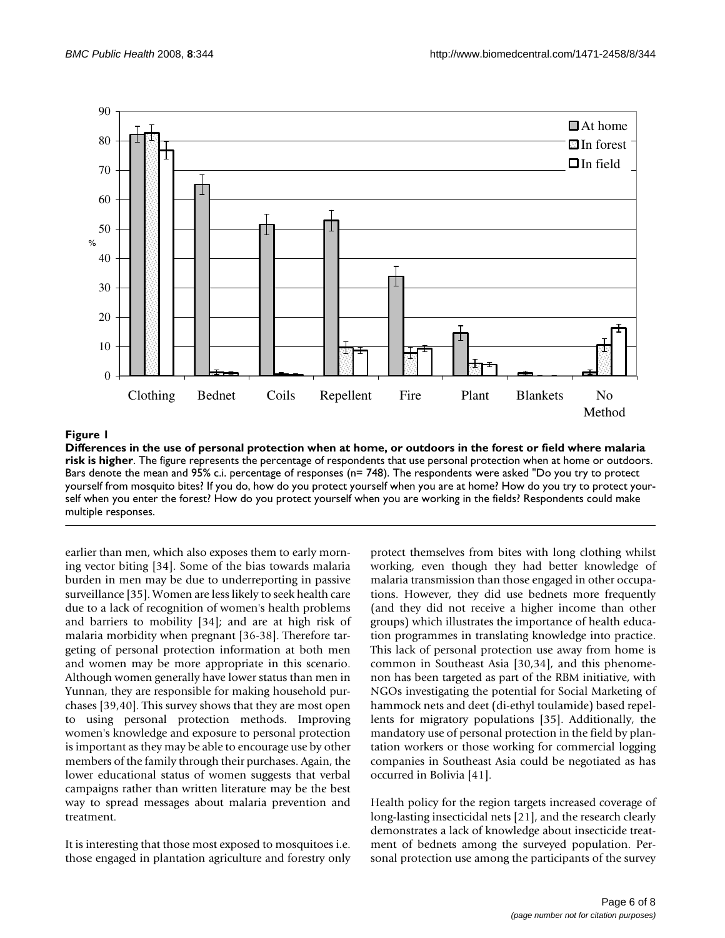

#### Differences in the use of personal protection when at home, or **Figure 1** outdoors in the forest or field where malaria risk is higher

**Differences in the use of personal protection when at home, or outdoors in the forest or field where malaria risk is higher**. The figure represents the percentage of respondents that use personal protection when at home or outdoors. Bars denote the mean and 95% c.i. percentage of responses (n= 748). The respondents were asked "Do you try to protect yourself from mosquito bites? If you do, how do you protect yourself when you are at home? How do you try to protect yourself when you enter the forest? How do you protect yourself when you are working in the fields? Respondents could make multiple responses.

earlier than men, which also exposes them to early morning vector biting [34]. Some of the bias towards malaria burden in men may be due to underreporting in passive surveillance [35]. Women are less likely to seek health care due to a lack of recognition of women's health problems and barriers to mobility [34]; and are at high risk of malaria morbidity when pregnant [36-38]. Therefore targeting of personal protection information at both men and women may be more appropriate in this scenario. Although women generally have lower status than men in Yunnan, they are responsible for making household purchases [39,40]. This survey shows that they are most open to using personal protection methods. Improving women's knowledge and exposure to personal protection is important as they may be able to encourage use by other members of the family through their purchases. Again, the lower educational status of women suggests that verbal campaigns rather than written literature may be the best way to spread messages about malaria prevention and treatment.

It is interesting that those most exposed to mosquitoes i.e. those engaged in plantation agriculture and forestry only protect themselves from bites with long clothing whilst working, even though they had better knowledge of malaria transmission than those engaged in other occupations. However, they did use bednets more frequently (and they did not receive a higher income than other groups) which illustrates the importance of health education programmes in translating knowledge into practice. This lack of personal protection use away from home is common in Southeast Asia [30,34], and this phenomenon has been targeted as part of the RBM initiative, with NGOs investigating the potential for Social Marketing of hammock nets and deet (di-ethyl toulamide) based repellents for migratory populations [35]. Additionally, the mandatory use of personal protection in the field by plantation workers or those working for commercial logging companies in Southeast Asia could be negotiated as has occurred in Bolivia [41].

Health policy for the region targets increased coverage of long-lasting insecticidal nets [21], and the research clearly demonstrates a lack of knowledge about insecticide treatment of bednets among the surveyed population. Personal protection use among the participants of the survey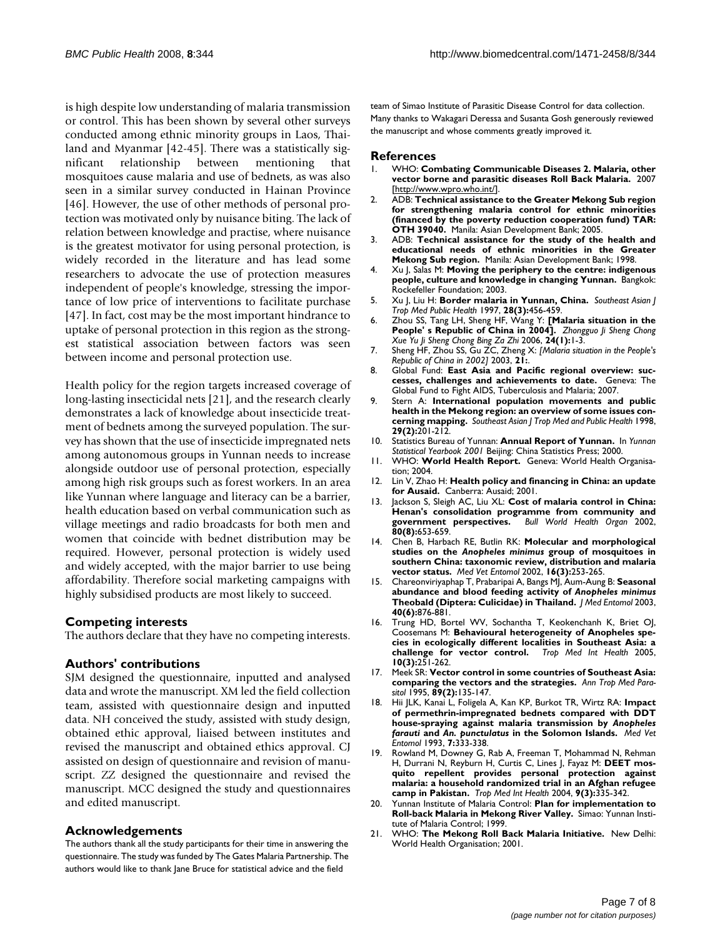is high despite low understanding of malaria transmission or control. This has been shown by several other surveys conducted among ethnic minority groups in Laos, Thailand and Myanmar [42-45]. There was a statistically significant relationship between mentioning that mosquitoes cause malaria and use of bednets, as was also seen in a similar survey conducted in Hainan Province [46]. However, the use of other methods of personal protection was motivated only by nuisance biting. The lack of relation between knowledge and practise, where nuisance is the greatest motivator for using personal protection, is widely recorded in the literature and has lead some researchers to advocate the use of protection measures independent of people's knowledge, stressing the importance of low price of interventions to facilitate purchase [47]. In fact, cost may be the most important hindrance to uptake of personal protection in this region as the strongest statistical association between factors was seen between income and personal protection use.

Health policy for the region targets increased coverage of long-lasting insecticidal nets [21], and the research clearly demonstrates a lack of knowledge about insecticide treatment of bednets among the surveyed population. The survey has shown that the use of insecticide impregnated nets among autonomous groups in Yunnan needs to increase alongside outdoor use of personal protection, especially among high risk groups such as forest workers. In an area like Yunnan where language and literacy can be a barrier, health education based on verbal communication such as village meetings and radio broadcasts for both men and women that coincide with bednet distribution may be required. However, personal protection is widely used and widely accepted, with the major barrier to use being affordability. Therefore social marketing campaigns with highly subsidised products are most likely to succeed.

#### **Competing interests**

The authors declare that they have no competing interests.

#### **Authors' contributions**

SJM designed the questionnaire, inputted and analysed data and wrote the manuscript. XM led the field collection team, assisted with questionnaire design and inputted data. NH conceived the study, assisted with study design, obtained ethic approval, liaised between institutes and revised the manuscript and obtained ethics approval. CJ assisted on design of questionnaire and revision of manuscript. ZZ designed the questionnaire and revised the manuscript. MCC designed the study and questionnaires and edited manuscript.

# **Acknowledgements**

The authors thank all the study participants for their time in answering the questionnaire. The study was funded by The Gates Malaria Partnership. The authors would like to thank Jane Bruce for statistical advice and the field

team of Simao Institute of Parasitic Disease Control for data collection. Many thanks to Wakagari Deressa and Susanta Gosh generously reviewed the manuscript and whose comments greatly improved it.

#### **References**

- 1. WHO: **Combating Communicable Diseases 2. Malaria, other vector borne and parasitic diseases Roll Back Malaria.** 2007 [[http://www.wpro.who.int/\]](http://www.wpro.who.int/).
- 2. ADB: **Technical assistance to the Greater Mekong Sub region for strengthening malaria control for ethnic minorities (financed by the poverty reduction cooperation fund) TAR: OTH 39040.** Manila: Asian Development Bank; 2005.
- 3. ADB: **Technical assistance for the study of the health and educational needs of ethnic minorities in the Greater Mekong Sub region.** Manila: Asian Development Bank; 1998.
- 4. Xu J, Salas M: **Moving the periphery to the centre: indigenous people, culture and knowledge in changing Yunnan.** Bangkok: Rockefeller Foundation; 2003.
- 5. Xu J, Liu H: **[Border malaria in Yunnan, China.](http://www.ncbi.nlm.nih.gov/entrez/query.fcgi?cmd=Retrieve&db=PubMed&dopt=Abstract&list_uids=9561591)** *Southeast Asian J Trop Med Public Health* 1997, **28(3):**456-459.
- 6. Zhou SS, Tang LH, Sheng HF, Wang Y: **[\[Malaria situation in the](http://www.ncbi.nlm.nih.gov/entrez/query.fcgi?cmd=Retrieve&db=PubMed&dopt=Abstract&list_uids=16866130) [People' s Republic of China in 2004\].](http://www.ncbi.nlm.nih.gov/entrez/query.fcgi?cmd=Retrieve&db=PubMed&dopt=Abstract&list_uids=16866130)** *Zhongguo Ji Sheng Chong Xue Yu Ji Sheng Chong Bing Za Zhi* 2006, **24(1):**1-3.
- 7. Sheng HF, Zhou SS, Gu ZC, Zheng X: *[Malaria situation in the People's Republic of China in 2002]* 2003, **21:**.
- 8. Global Fund: **East Asia and Pacific regional overview: successes, challenges and achievements to date.** Geneva: The Global Fund to Fight AIDS, Tuberculosis and Malaria; 2007.
- 9. Stern A: **International population movements and public health in the Mekong region: an overview of some issues concerning mapping.** *Southeast Asian J Trop Med and Public Health* 1998, **29(2):**201-212.
- 10. Statistics Bureau of Yunnan: **Annual Report of Yunnan.** In *Yunnan Statistical Yearbook 2001* Beijing: China Statistics Press; 2000.
- 11. WHO: **World Health Report.** Geneva: World Health Organisation; 2004.
- 12. Lin V, Zhao H: **Health policy and financing in China: an update for Ausaid.** Canberra: Ausaid; 2001.
- 13. Jackson S, Sleigh AC, Liu XL: **[Cost of malaria control in China:](http://www.ncbi.nlm.nih.gov/entrez/query.fcgi?cmd=Retrieve&db=PubMed&dopt=Abstract&list_uids=12219157) [Henan's consolidation programme from community and](http://www.ncbi.nlm.nih.gov/entrez/query.fcgi?cmd=Retrieve&db=PubMed&dopt=Abstract&list_uids=12219157) [government perspectives.](http://www.ncbi.nlm.nih.gov/entrez/query.fcgi?cmd=Retrieve&db=PubMed&dopt=Abstract&list_uids=12219157)** *Bull World Health Organ* 2002, **80(8):**653-659.
- 14. Chen B, Harbach RE, Butlin RK: **Molecular and morphological studies on the** *Anopheles minimus* **[group of mosquitoes in](http://www.ncbi.nlm.nih.gov/entrez/query.fcgi?cmd=Retrieve&db=PubMed&dopt=Abstract&list_uids=12243226) [southern China: taxonomic review, distribution and malaria](http://www.ncbi.nlm.nih.gov/entrez/query.fcgi?cmd=Retrieve&db=PubMed&dopt=Abstract&list_uids=12243226) [vector status.](http://www.ncbi.nlm.nih.gov/entrez/query.fcgi?cmd=Retrieve&db=PubMed&dopt=Abstract&list_uids=12243226)** *Med Vet Entomol* 2002, **16(3):**253-265.
- <span id="page-6-0"></span>15. Chareonviriyaphap T, Prabaripai A, Bangs MJ, Aum-Aung B: **Seasonal abundance and blood feeding activity of** *Anopheles minimus* **[Theobald \(Diptera: Culicidae\) in Thailand.](http://www.ncbi.nlm.nih.gov/entrez/query.fcgi?cmd=Retrieve&db=PubMed&dopt=Abstract&list_uids=14765665)** *J Med Entomol* 2003, **40(6):**876-881.
- 16. Trung HD, Bortel WV, Sochantha T, Keokenchanh K, Briet OJ, Coosemans M: **[Behavioural heterogeneity of Anopheles spe](http://www.ncbi.nlm.nih.gov/entrez/query.fcgi?cmd=Retrieve&db=PubMed&dopt=Abstract&list_uids=15730510)[cies in ecologically different localities in Southeast Asia: a](http://www.ncbi.nlm.nih.gov/entrez/query.fcgi?cmd=Retrieve&db=PubMed&dopt=Abstract&list_uids=15730510) [challenge for vector control.](http://www.ncbi.nlm.nih.gov/entrez/query.fcgi?cmd=Retrieve&db=PubMed&dopt=Abstract&list_uids=15730510)** *Trop Med Int Health* 2005, **10(3):**251-262.
- 17. Meek SR: **[Vector control in some countries of Southeast Asia:](http://www.ncbi.nlm.nih.gov/entrez/query.fcgi?cmd=Retrieve&db=PubMed&dopt=Abstract&list_uids=7605123) [comparing the vectors and the strategies.](http://www.ncbi.nlm.nih.gov/entrez/query.fcgi?cmd=Retrieve&db=PubMed&dopt=Abstract&list_uids=7605123)** *Ann Trop Med Parasitol* 1995, **89(2):**135-147.
- 18. Hii JLK, Kanai L, Foligela A, Kan KP, Burkot TR, Wirtz RA: **Impact of permethrin-impregnated bednets compared with DDT house-spraying against malaria transmission by** *Anopheles farauti* **and** *An. punctulatus* **[in the Solomon Islands.](http://www.ncbi.nlm.nih.gov/entrez/query.fcgi?cmd=Retrieve&db=PubMed&dopt=Abstract&list_uids=8268487)** *Med Vet Entomol* 1993, **7:**333-338.
- 19. Rowland M, Downey G, Rab A, Freeman T, Mohammad N, Rehman H, Durrani N, Reyburn H, Curtis C, Lines J, Fayaz M: **[DEET mos](http://www.ncbi.nlm.nih.gov/entrez/query.fcgi?cmd=Retrieve&db=PubMed&dopt=Abstract&list_uids=14996362)[quito repellent provides personal protection against](http://www.ncbi.nlm.nih.gov/entrez/query.fcgi?cmd=Retrieve&db=PubMed&dopt=Abstract&list_uids=14996362) malaria: a household randomized trial in an Afghan refugee [camp in Pakistan.](http://www.ncbi.nlm.nih.gov/entrez/query.fcgi?cmd=Retrieve&db=PubMed&dopt=Abstract&list_uids=14996362)** *Trop Med Int Health* 2004, **9(3):**335-342.
- 20. Yunnan Institute of Malaria Control: **Plan for implementation to Roll-back Malaria in Mekong River Valley.** Simao: Yunnan Institute of Malaria Control; 1999.
- 21. WHO: **The Mekong Roll Back Malaria Initiative.** New Delhi: World Health Organisation; 2001.